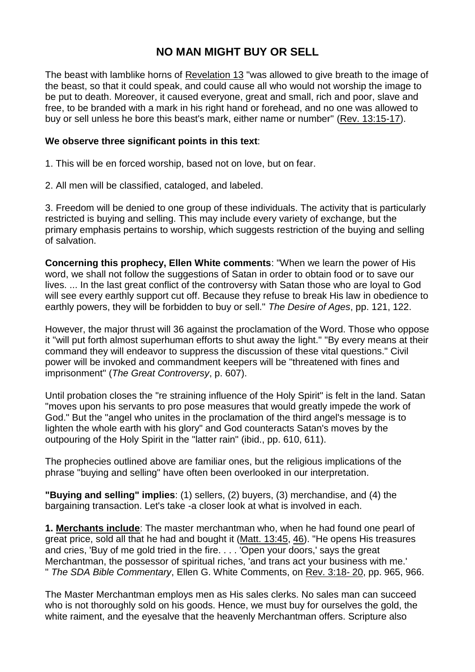## **NO MAN MIGHT BUY OR SELL**

The beast with lamblike horns of [Revelation](https://biblia.com/bible/esv/Rev%2013) 13 "was allowed to give breath to the image of the beast, so that it could speak, and could cause all who would not worship the image to be put to death. Moreover, it caused everyone, great and small, rich and poor, slave and free, to be branded with a mark in his right hand or forehead, and no one was allowed to buy or sell unless he bore this beast's mark, either name or number" (Rev. [13:15-17\)](https://biblia.com/bible/esv/Rev.%2013.15-17).

## **We observe three significant points in this text**:

1. This will be en forced worship, based not on love, but on fear.

2. All men will be classified, cataloged, and labeled.

3. Freedom will be denied to one group of these individuals. The activity that is particularly restricted is buying and selling. This may include every variety of exchange, but the primary emphasis pertains to worship, which suggests restriction of the buying and selling of salvation.

**Concerning this prophecy, Ellen White comments**: "When we learn the power of His word, we shall not follow the suggestions of Satan in order to obtain food or to save our lives. ... In the last great conflict of the controversy with Satan those who are loyal to God will see every earthly support cut off. Because they refuse to break His law in obedience to earthly powers, they will be forbidden to buy or sell." *The Desire of Ages*, pp. 121, 122.

However, the major thrust will 36 against the proclamation of the Word. Those who oppose it "will put forth almost superhuman efforts to shut away the light." "By every means at their command they will endeavor to suppress the discussion of these vital questions." Civil power will be invoked and commandment keepers will be "threatened with fines and imprisonment" (*The Great Controversy*, p. 607).

Until probation closes the "re straining influence of the Holy Spirit" is felt in the land. Satan "moves upon his servants to pro pose measures that would greatly impede the work of God." But the "angel who unites in the proclamation of the third angel's message is to lighten the whole earth with his glory" and God counteracts Satan's moves by the outpouring of the Holy Spirit in the "latter rain" (ibid., pp. 610, 611).

The prophecies outlined above are familiar ones, but the religious implications of the phrase "buying and selling" have often been overlooked in our interpretation.

**"Buying and selling" implies**: (1) sellers, (2) buyers, (3) merchandise, and (4) the bargaining transaction. Let's take -a closer look at what is involved in each.

**1. Merchants include**: The master merchantman who, when he had found one pearl of great price, sold all that he had and bought it (Matt. [13:45,](https://biblia.com/bible/esv/Matt.%2013.45) [46\)](https://biblia.com/bible/esv/Matt%2013.46). "He opens His treasures and cries, 'Buy of me gold tried in the fire. . . . 'Open your doors,' says the great Merchantman, the possessor of spiritual riches, 'and trans act your business with me.' " *The SDA Bible Commentary*, Ellen G. White Comments, on Rev. [3:18-](https://biblia.com/bible/esv/Rev.%203.18-%2020) 20, pp. 965, 966.

The Master Merchantman employs men as His sales clerks. No sales man can succeed who is not thoroughly sold on his goods. Hence, we must buy for ourselves the gold, the white raiment, and the eyesalve that the heavenly Merchantman offers. Scripture also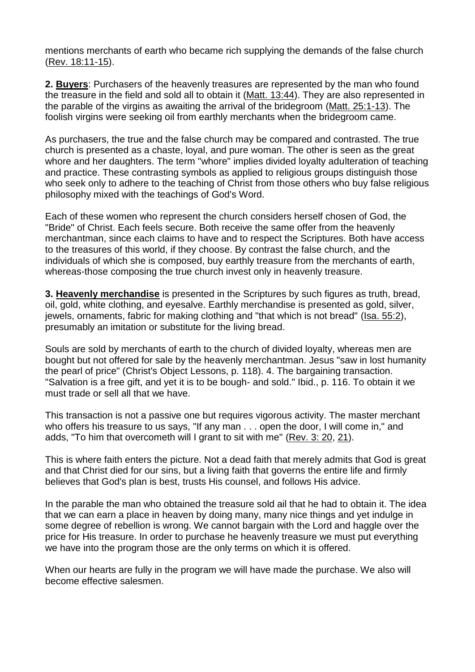mentions merchants of earth who became rich supplying the demands of the false church (Rev. [18:11-15\)](https://biblia.com/bible/esv/Rev.%2018.11-15).

**2. Buyers**: Purchasers of the heavenly treasures are represented by the man who found the treasure in the field and sold all to obtain it (Matt. [13:44\)](https://biblia.com/bible/esv/Matt.%2013.44). They are also represented in the parable of the virgins as awaiting the arrival of the bridegroom (Matt. [25:1-13\)](https://biblia.com/bible/esv/Matt.%2025.1-13). The foolish virgins were seeking oil from earthly merchants when the bridegroom came.

As purchasers, the true and the false church may be compared and contrasted. The true church is presented as a chaste, loyal, and pure woman. The other is seen as the great whore and her daughters. The term "whore" implies divided loyalty adulteration of teaching and practice. These contrasting symbols as applied to religious groups distinguish those who seek only to adhere to the teaching of Christ from those others who buy false religious philosophy mixed with the teachings of God's Word.

Each of these women who represent the church considers herself chosen of God, the "Bride" of Christ. Each feels secure. Both receive the same offer from the heavenly merchantman, since each claims to have and to respect the Scriptures. Both have access to the treasures of this world, if they choose. By contrast the false church, and the individuals of which she is composed, buy earthly treasure from the merchants of earth, whereas-those composing the true church invest only in heavenly treasure.

**3. Heavenly merchandise** is presented in the Scriptures by such figures as truth, bread, oil, gold, white clothing, and eyesalve. Earthly merchandise is presented as gold, silver, jewels, ornaments, fabric for making clothing and "that which is not bread" (Isa. [55:2\)](https://biblia.com/bible/esv/Isa.%2055.2), presumably an imitation or substitute for the living bread.

Souls are sold by merchants of earth to the church of divided loyalty, whereas men are bought but not offered for sale by the heavenly merchantman. Jesus "saw in lost humanity the pearl of price" (Christ's Object Lessons, p. 118). 4. The bargaining transaction. "Salvation is a free gift, and yet it is to be bough- and sold." Ibid., p. 116. To obtain it we must trade or sell all that we have.

This transaction is not a passive one but requires vigorous activity. The master merchant who offers his treasure to us says, "If any man . . . open the door, I will come in," and adds, "To him that overcometh will I grant to sit with me" [\(Rev.](https://biblia.com/bible/esv/Rev.%203.%2020) 3: 20, [21\)](https://biblia.com/bible/esv/Rev%203.21).

This is where faith enters the picture. Not a dead faith that merely admits that God is great and that Christ died for our sins, but a living faith that governs the entire life and firmly believes that God's plan is best, trusts His counsel, and follows His advice.

In the parable the man who obtained the treasure sold ail that he had to obtain it. The idea that we can earn a place in heaven by doing many, many nice things and yet indulge in some degree of rebellion is wrong. We cannot bargain with the Lord and haggle over the price for His treasure. In order to purchase he heavenly treasure we must put everything we have into the program those are the only terms on which it is offered.

When our hearts are fully in the program we will have made the purchase. We also will become effective salesmen.